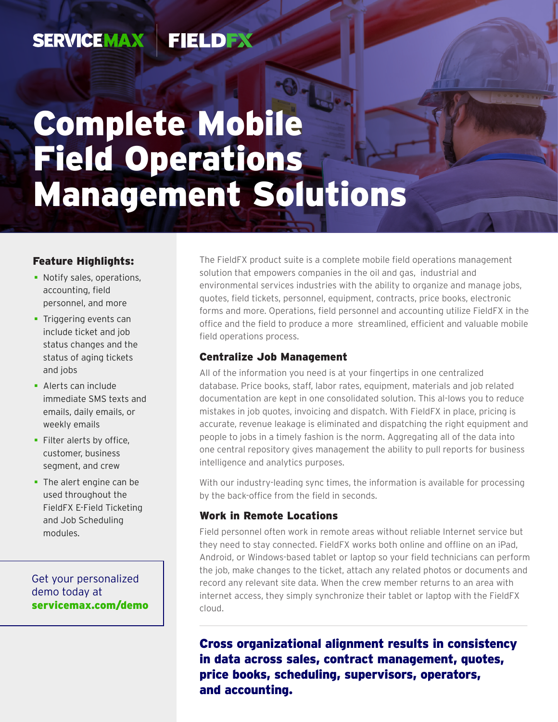#### **SERVICEMAX** FIELDEX

# Complete Mobile Field Operations Management Solutions

#### Feature Highlights:

- Notify sales, operations, accounting, field personnel, and more
- **Triggering events can** include ticket and job status changes and the status of aging tickets and jobs
- **Alerts can include** immediate SMS texts and emails, daily emails, or weekly emails
- **Filter alerts by office,** customer, business segment, and crew
- The alert engine can be used throughout the FieldFX E-Field Ticketing and Job Scheduling modules.

Get your personalized demo today at [servicemax.com/demo](http://servicemax.com/demo)

The FieldFX product suite is a complete mobile field operations management solution that empowers companies in the oil and gas, industrial and environmental services industries with the ability to organize and manage jobs, quotes, field tickets, personnel, equipment, contracts, price books, electronic forms and more. Operations, field personnel and accounting utilize FieldFX in the office and the field to produce a more streamlined, efficient and valuable mobile field operations process.

#### Centralize Job Management

All of the information you need is at your fingertips in one centralized database. Price books, staff, labor rates, equipment, materials and job related documentation are kept in one consolidated solution. This al-lows you to reduce mistakes in job quotes, invoicing and dispatch. With FieldFX in place, pricing is accurate, revenue leakage is eliminated and dispatching the right equipment and people to jobs in a timely fashion is the norm. Aggregating all of the data into one central repository gives management the ability to pull reports for business intelligence and analytics purposes.

With our industry-leading sync times, the information is available for processing by the back-office from the field in seconds.

#### Work in Remote Locations

Field personnel often work in remote areas without reliable Internet service but they need to stay connected. FieldFX works both online and offline on an iPad, Android, or Windows-based tablet or laptop so your field technicians can perform the job, make changes to the ticket, attach any related photos or documents and record any relevant site data. When the crew member returns to an area with internet access, they simply synchronize their tablet or laptop with the FieldFX cloud.

Cross organizational alignment results in consistency in data across sales, contract management, quotes, price books, scheduling, supervisors, operators, and accounting.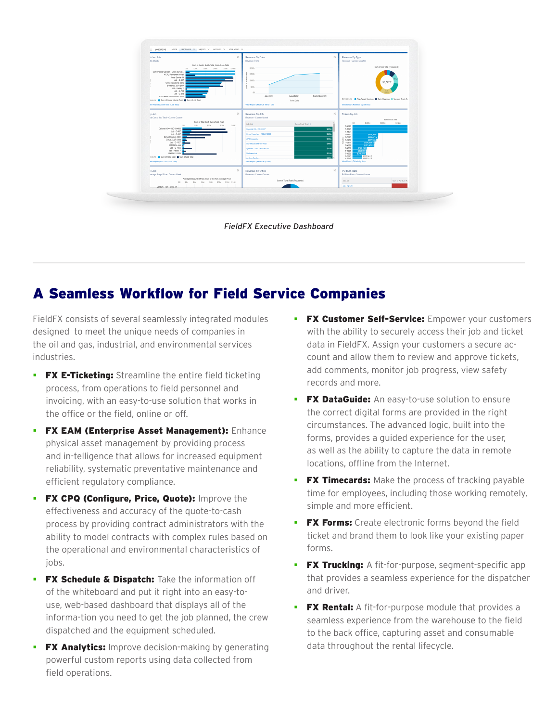

*FieldFX Executive Dashboard*

# A Seamless Workflow for Field Service Companies

FieldFX consists of several seamlessly integrated modules designed to meet the unique needs of companies in the oil and gas, industrial, and environmental services industries.

- **FX E-Ticketing:** Streamline the entire field ticketing process, from operations to field personnel and invoicing, with an easy-to-use solution that works in the office or the field, online or off.
- **· FX EAM (Enterprise Asset Management): Enhance** physical asset management by providing process and in-telligence that allows for increased equipment reliability, systematic preventative maintenance and efficient regulatory compliance.
- **FX CPQ (Configure, Price, Quote):** Improve the effectiveness and accuracy of the quote-to-cash process by providing contract administrators with the ability to model contracts with complex rules based on the operational and environmental characteristics of jobs.
- **FX Schedule & Dispatch:** Take the information off of the whiteboard and put it right into an easy-touse, web-based dashboard that displays all of the informa-tion you need to get the job planned, the crew dispatched and the equipment scheduled.
- **FX Analytics:** Improve decision-making by generating powerful custom reports using data collected from field operations.
- **FX Customer Self-Service:** Empower your customers with the ability to securely access their job and ticket data in FieldFX. Assign your customers a secure account and allow them to review and approve tickets, add comments, monitor job progress, view safety records and more.
- **FX DataGuide:** An easy-to-use solution to ensure the correct digital forms are provided in the right circumstances. The advanced logic, built into the forms, provides a guided experience for the user, as well as the ability to capture the data in remote locations, offline from the Internet.
- **FX Timecards:** Make the process of tracking payable time for employees, including those working remotely, simple and more efficient.
- **FX Forms:** Create electronic forms beyond the field ticket and brand them to look like your existing paper forms.
- **FX Trucking:** A fit-for-purpose, segment-specific app that provides a seamless experience for the dispatcher and driver.
- **FX Rental:** A fit-for-purpose module that provides a seamless experience from the warehouse to the field to the back office, capturing asset and consumable data throughout the rental lifecycle.